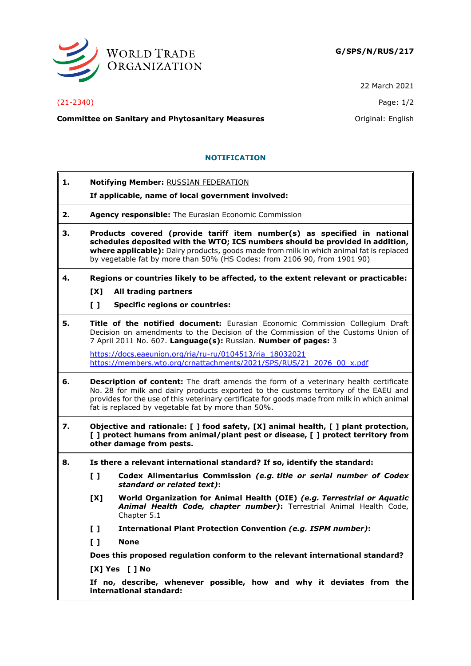

22 March 2021

## (21-2340) Page: 1/2

**Committee on Sanitary and Phytosanitary Measures Committee on Sanitary and Phytosanitary Measures Committee on Sanitary and Phytosanitary Measures** 

## **NOTIFICATION**

| 1. |                                                                                                                                                                                                                                                                                                                                           | <b>Notifying Member: RUSSIAN FEDERATION</b>                                                                                                                    |
|----|-------------------------------------------------------------------------------------------------------------------------------------------------------------------------------------------------------------------------------------------------------------------------------------------------------------------------------------------|----------------------------------------------------------------------------------------------------------------------------------------------------------------|
|    |                                                                                                                                                                                                                                                                                                                                           | If applicable, name of local government involved:                                                                                                              |
| 2. | Agency responsible: The Eurasian Economic Commission                                                                                                                                                                                                                                                                                      |                                                                                                                                                                |
| З. | Products covered (provide tariff item number(s) as specified in national<br>schedules deposited with the WTO; ICS numbers should be provided in addition,<br>where applicable): Dairy products, goods made from milk in which animal fat is replaced<br>by vegetable fat by more than 50% (HS Codes: from 2106 90, from 1901 90)          |                                                                                                                                                                |
| 4. | Regions or countries likely to be affected, to the extent relevant or practicable:                                                                                                                                                                                                                                                        |                                                                                                                                                                |
|    | [X]<br>All trading partners                                                                                                                                                                                                                                                                                                               |                                                                                                                                                                |
|    | $\mathbf{L}$                                                                                                                                                                                                                                                                                                                              | <b>Specific regions or countries:</b>                                                                                                                          |
| 5. | Title of the notified document: Eurasian Economic Commission Collegium Draft<br>Decision on amendments to the Decision of the Commission of the Customs Union of<br>7 April 2011 No. 607. Language(s): Russian. Number of pages: 3                                                                                                        |                                                                                                                                                                |
|    |                                                                                                                                                                                                                                                                                                                                           | https://docs.eaeunion.org/ria/ru-ru/0104513/ria 18032021<br>https://members.wto.org/crnattachments/2021/SPS/RUS/21 2076 00 x.pdf                               |
| 6. | <b>Description of content:</b> The draft amends the form of a veterinary health certificate<br>No. 28 for milk and dairy products exported to the customs territory of the EAEU and<br>provides for the use of this veterinary certificate for goods made from milk in which animal<br>fat is replaced by vegetable fat by more than 50%. |                                                                                                                                                                |
| 7. | Objective and rationale: [ ] food safety, [X] animal health, [ ] plant protection,<br>[ ] protect humans from animal/plant pest or disease, [ ] protect territory from<br>other damage from pests.                                                                                                                                        |                                                                                                                                                                |
| 8. | Is there a relevant international standard? If so, identify the standard:                                                                                                                                                                                                                                                                 |                                                                                                                                                                |
|    | $\mathbf{L}$                                                                                                                                                                                                                                                                                                                              | Codex Alimentarius Commission (e.g. title or serial number of Codex<br>standard or related text):                                                              |
|    | [X]                                                                                                                                                                                                                                                                                                                                       | World Organization for Animal Health (OIE) (e.g. Terrestrial or Aquatic<br>Animal Health Code, chapter number): Terrestrial Animal Health Code,<br>Chapter 5.1 |
|    | I I                                                                                                                                                                                                                                                                                                                                       | <b>International Plant Protection Convention (e.g. ISPM number):</b>                                                                                           |
|    | $\mathbf{L}$                                                                                                                                                                                                                                                                                                                              | <b>None</b>                                                                                                                                                    |
|    | Does this proposed regulation conform to the relevant international standard?                                                                                                                                                                                                                                                             |                                                                                                                                                                |
|    | [X] Yes [ ] No                                                                                                                                                                                                                                                                                                                            |                                                                                                                                                                |
|    | If no, describe, whenever possible, how and why it deviates from the<br>international standard:                                                                                                                                                                                                                                           |                                                                                                                                                                |